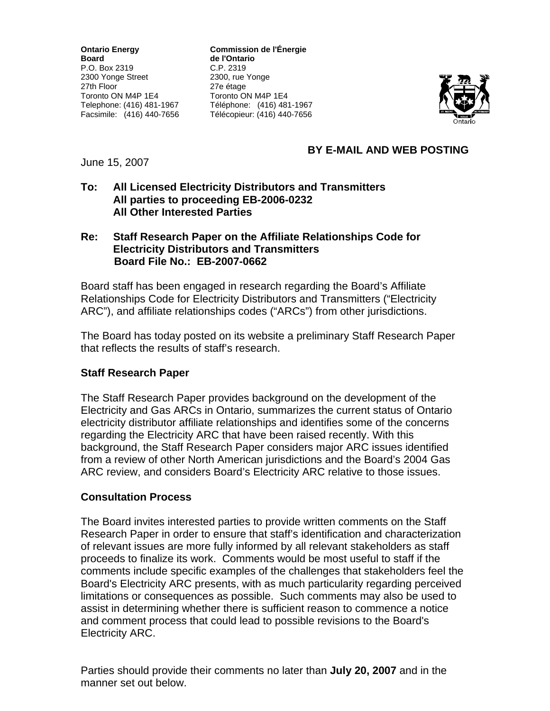**Board** de l'Ontario P.O. Box 2319 C.P. 2319 2300 Yonge Street 2300, rue Yonge 27th Floor 27e étage Toronto ON M4P 1E4 Toronto ON M4P 1E4

**Ontario Energy Commission de l'Énergie**  Telephone: (416) 481-1967 Téléphone: (416) 481-1967 Facsimile: (416) 440-7656 Télécopieur: (416) 440-7656



# **BY E-MAIL AND WEB POSTING**

June 15, 2007

### **To: All Licensed Electricity Distributors and Transmitters All parties to proceeding EB-2006-0232 All Other Interested Parties**

### **Re: Staff Research Paper on the Affiliate Relationships Code for Electricity Distributors and Transmitters Board File No.: EB-2007-0662**

Board staff has been engaged in research regarding the Board's Affiliate Relationships Code for Electricity Distributors and Transmitters ("Electricity ARC"), and affiliate relationships codes ("ARCs") from other jurisdictions.

The Board has today posted on its website a preliminary Staff Research Paper that reflects the results of staff's research.

### **Staff Research Paper**

The Staff Research Paper provides background on the development of the Electricity and Gas ARCs in Ontario, summarizes the current status of Ontario electricity distributor affiliate relationships and identifies some of the concerns regarding the Electricity ARC that have been raised recently. With this background, the Staff Research Paper considers major ARC issues identified from a review of other North American jurisdictions and the Board's 2004 Gas ARC review, and considers Board's Electricity ARC relative to those issues.

### **Consultation Process**

The Board invites interested parties to provide written comments on the Staff Research Paper in order to ensure that staff's identification and characterization of relevant issues are more fully informed by all relevant stakeholders as staff proceeds to finalize its work. Comments would be most useful to staff if the comments include specific examples of the challenges that stakeholders feel the Board's Electricity ARC presents, with as much particularity regarding perceived limitations or consequences as possible. Such comments may also be used to assist in determining whether there is sufficient reason to commence a notice and comment process that could lead to possible revisions to the Board's Electricity ARC.

Parties should provide their comments no later than **July 20, 2007** and in the manner set out below.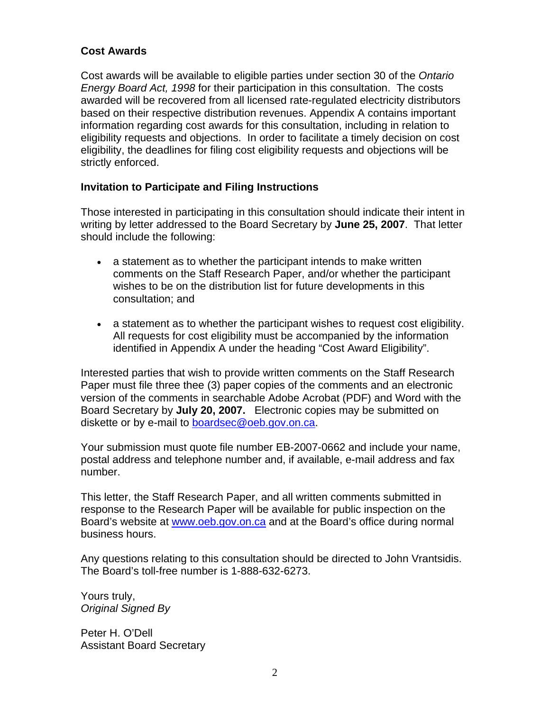### **Cost Awards**

Cost awards will be available to eligible parties under section 30 of the *Ontario Energy Board Act, 1998* for their participation in this consultation. The costs awarded will be recovered from all licensed rate-regulated electricity distributors based on their respective distribution revenues. Appendix A contains important information regarding cost awards for this consultation, including in relation to eligibility requests and objections. In order to facilitate a timely decision on cost eligibility, the deadlines for filing cost eligibility requests and objections will be strictly enforced.

### **Invitation to Participate and Filing Instructions**

Those interested in participating in this consultation should indicate their intent in writing by letter addressed to the Board Secretary by **June 25, 2007**. That letter should include the following:

- a statement as to whether the participant intends to make written comments on the Staff Research Paper, and/or whether the participant wishes to be on the distribution list for future developments in this consultation; and
- a statement as to whether the participant wishes to request cost eligibility. All requests for cost eligibility must be accompanied by the information identified in Appendix A under the heading "Cost Award Eligibility".

Interested parties that wish to provide written comments on the Staff Research Paper must file three thee (3) paper copies of the comments and an electronic version of the comments in searchable Adobe Acrobat (PDF) and Word with the Board Secretary by **July 20, 2007.** Electronic copies may be submitted on diskette or by e-mail to [boardsec@oeb.gov.on.ca.](mailto:boardsec@oeb.gov.on.ca)

Your submission must quote file number EB-2007-0662 and include your name, postal address and telephone number and, if available, e-mail address and fax number.

This letter, the Staff Research Paper, and all written comments submitted in response to the Research Paper will be available for public inspection on the Board's website at [www.oeb.gov.on.ca](http://www.oeb.gov.on.ca/) and at the Board's office during normal business hours.

Any questions relating to this consultation should be directed to John Vrantsidis. The Board's toll-free number is 1-888-632-6273.

Yours truly, *Original Signed By* 

Peter H. O'Dell Assistant Board Secretary